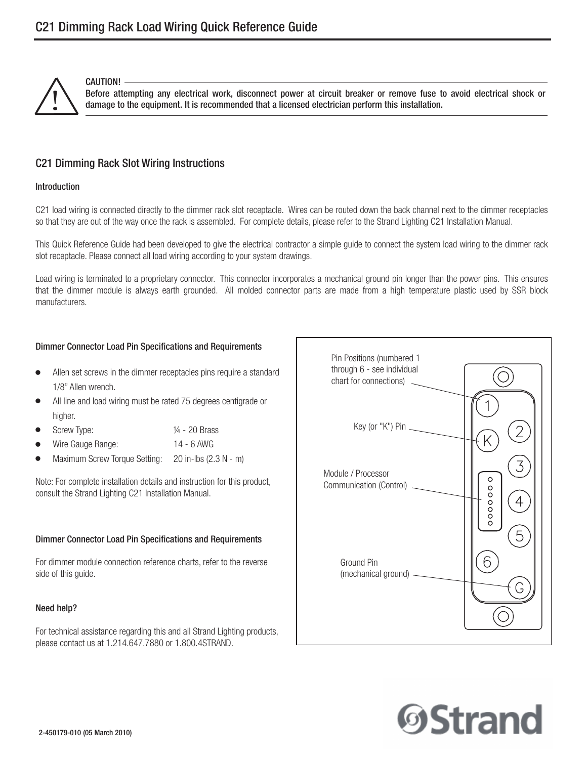

CAUTION!

Before attempting any electrical work, disconnect power at circuit breaker or remove fuse to avoid electrical shock or<br>damage to the equipment. It is recommended that a licensed electrician perform this installation.

# C21 Dimming Rack Slot Wiring Instructions

#### Introduction

C21 load wiring is connected directly to the dimmer rack slot receptacle. Wires can be routed down the back channel next to the dimmer receptacles so that they are out of the way once the rack is assembled. For complete details, please refer to the Strand Lighting C21 Installation Manual.

This Quick Reference Guide had been developed to give the electrical contractor a simple guide to connect the system load wiring to the dimmer rack slot receptacle. Please connect all load wiring according to your system drawings.

Load wiring is terminated to a proprietary connector. This connector incorporates a mechanical ground pin longer than the power pins. This ensures that the dimmer module is always earth grounded. All molded connector parts are made from a high temperature plastic used by SSR block manufacturers.

## Dimmer Connector Load Pin Specifications and Requirements

- - Allen set screws in the dimmer receptacles pins require a standard 1/8" Allen wrench.
- - All line and load wiring must be rated 75 degrees centigrade or higher.
- -Screw Type:  $\frac{1}{4}$  - 20 Brass
- -Wire Gauge Range: 14 - 6 AWG
- -Maximum Screw Torque Setting: 20 in-lbs (2.3 N - m)

Note: For complete installation details and instruction for this product, consult the Strand Lighting C21 Installation Manual.

#### Dimmer Connector Load Pin Specifications and Requirements

For dimmer module connection reference charts, refer to the reverse side of this guide.

#### Need help?

For technical assistance regarding this and all Strand Lighting products, please contact us at 1.214.647.7880 or 1.800.4STRAND.



# *OStrand*